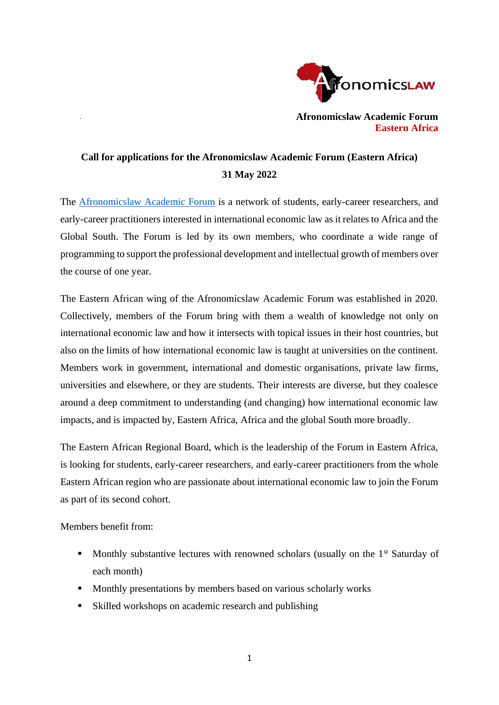

**Afronomicslaw Academic Forum Eastern Africa**

# **Call for applications for the Afronomicslaw Academic Forum (Eastern Africa) 31 May 2022**

The [Afronomicslaw Academic Forum](https://www.afronomicslaw.org/index.php/category/academic-forum) is a network of students, early-career researchers, and early-career practitioners interested in international economic law as it relates to Africa and the Global South. The Forum is led by its own members, who coordinate a wide range of programming to support the professional development and intellectual growth of members over the course of one year.

The Eastern African wing of the Afronomicslaw Academic Forum was established in 2020. Collectively, members of the Forum bring with them a wealth of knowledge not only on international economic law and how it intersects with topical issues in their host countries, but also on the limits of how international economic law is taught at universities on the continent. Members work in government, international and domestic organisations, private law firms, universities and elsewhere, or they are students. Their interests are diverse, but they coalesce around a deep commitment to understanding (and changing) how international economic law impacts, and is impacted by, Eastern Africa, Africa and the global South more broadly.

The Eastern African Regional Board, which is the leadership of the Forum in Eastern Africa, is looking for students, early-career researchers, and early-career practitioners from the whole Eastern African region who are passionate about international economic law to join the Forum as part of its second cohort.

Members benefit from:

- **■** Monthly substantive lectures with renowned scholars (usually on the  $1<sup>st</sup>$  Saturday of each month)
- Monthly presentations by members based on various scholarly works
- Skilled workshops on academic research and publishing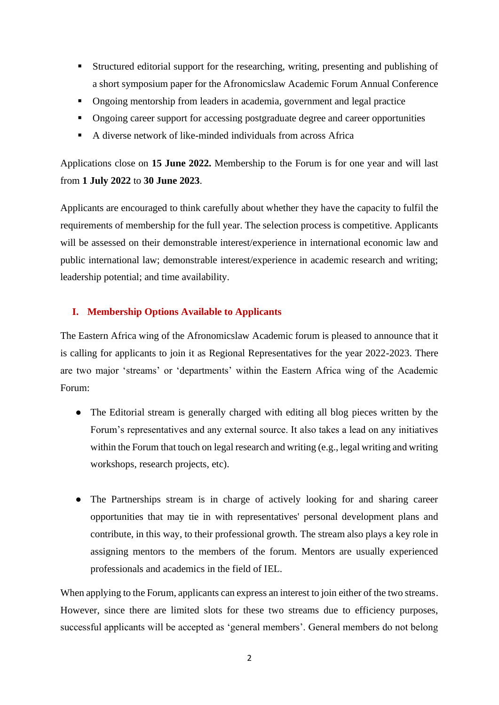- Structured editorial support for the researching, writing, presenting and publishing of a short symposium paper for the Afronomicslaw Academic Forum Annual Conference
- **•** Ongoing mentorship from leaders in academia, government and legal practice
- **•** Ongoing career support for accessing postgraduate degree and career opportunities
- A diverse network of like-minded individuals from across Africa

Applications close on **15 June 2022.** Membership to the Forum is for one year and will last from **1 July 2022** to **30 June 2023**.

Applicants are encouraged to think carefully about whether they have the capacity to fulfil the requirements of membership for the full year. The selection process is competitive. Applicants will be assessed on their demonstrable interest/experience in international economic law and public international law; demonstrable interest/experience in academic research and writing; leadership potential; and time availability.

## **I. Membership Options Available to Applicants**

The Eastern Africa wing of the Afronomicslaw Academic forum is pleased to announce that it is calling for applicants to join it as Regional Representatives for the year 2022-2023. There are two major 'streams' or 'departments' within the Eastern Africa wing of the Academic Forum:

- The Editorial stream is generally charged with editing all blog pieces written by the Forum's representatives and any external source. It also takes a lead on any initiatives within the Forum that touch on legal research and writing (e.g., legal writing and writing workshops, research projects, etc).
- The Partnerships stream is in charge of actively looking for and sharing career opportunities that may tie in with representatives' personal development plans and contribute, in this way, to their professional growth. The stream also plays a key role in assigning mentors to the members of the forum. Mentors are usually experienced professionals and academics in the field of IEL.

When applying to the Forum, applicants can express an interest to join either of the two streams. However, since there are limited slots for these two streams due to efficiency purposes, successful applicants will be accepted as 'general members'. General members do not belong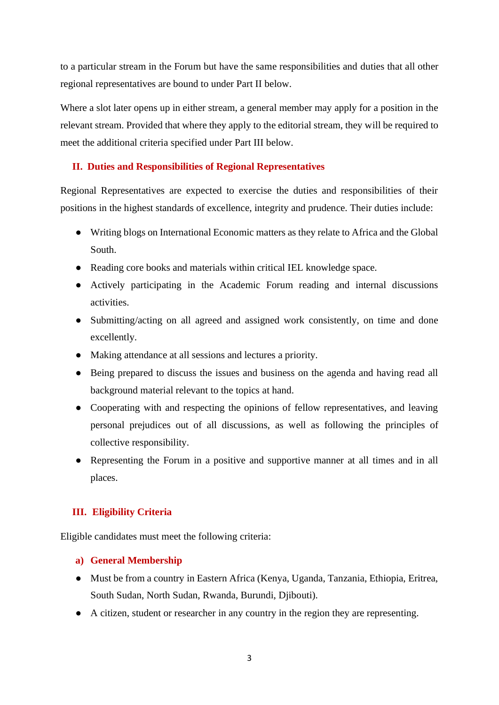to a particular stream in the Forum but have the same responsibilities and duties that all other regional representatives are bound to under Part II below.

Where a slot later opens up in either stream, a general member may apply for a position in the relevant stream. Provided that where they apply to the editorial stream, they will be required to meet the additional criteria specified under Part III below.

## **II. Duties and Responsibilities of Regional Representatives**

Regional Representatives are expected to exercise the duties and responsibilities of their positions in the highest standards of excellence, integrity and prudence. Their duties include:

- Writing blogs on International Economic matters as they relate to Africa and the Global South.
- Reading core books and materials within critical IEL knowledge space.
- Actively participating in the Academic Forum reading and internal discussions activities.
- Submitting/acting on all agreed and assigned work consistently, on time and done excellently.
- Making attendance at all sessions and lectures a priority.
- Being prepared to discuss the issues and business on the agenda and having read all background material relevant to the topics at hand.
- Cooperating with and respecting the opinions of fellow representatives, and leaving personal prejudices out of all discussions, as well as following the principles of collective responsibility.
- Representing the Forum in a positive and supportive manner at all times and in all places.

## **III. Eligibility Criteria**

Eligible candidates must meet the following criteria:

#### **a) General Membership**

- Must be from a country in Eastern Africa (Kenya, Uganda, Tanzania, Ethiopia, Eritrea, South Sudan, North Sudan, Rwanda, Burundi, Djibouti).
- A citizen, student or researcher in any country in the region they are representing.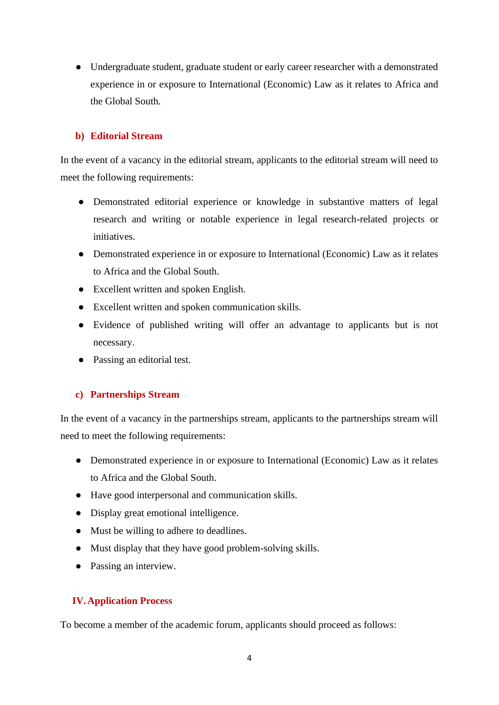● Undergraduate student, graduate student or early career researcher with a demonstrated experience in or exposure to International (Economic) Law as it relates to Africa and the Global South.

## **b) Editorial Stream**

In the event of a vacancy in the editorial stream, applicants to the editorial stream will need to meet the following requirements:

- Demonstrated editorial experience or knowledge in substantive matters of legal research and writing or notable experience in legal research-related projects or initiatives.
- Demonstrated experience in or exposure to International (Economic) Law as it relates to Africa and the Global South.
- Excellent written and spoken English.
- Excellent written and spoken communication skills.
- Evidence of published writing will offer an advantage to applicants but is not necessary.
- Passing an editorial test.

## **c) Partnerships Stream**

In the event of a vacancy in the partnerships stream, applicants to the partnerships stream will need to meet the following requirements:

- Demonstrated experience in or exposure to International (Economic) Law as it relates to Africa and the Global South.
- Have good interpersonal and communication skills.
- Display great emotional intelligence.
- Must be willing to adhere to deadlines.
- Must display that they have good problem-solving skills.
- Passing an interview.

## **IV.Application Process**

To become a member of the academic forum, applicants should proceed as follows: